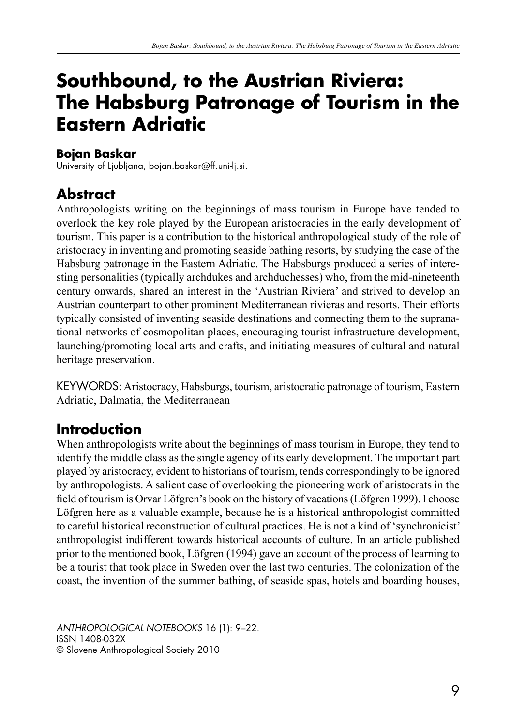# **Southbound, to the Austrian Riviera: The Habsburg Patronage of Tourism in the Eastern Adriatic**

#### **Bojan Baskar**

University of Ljubljana, bojan.baskar@ff.uni-lj.si.

# **Abstract**

Anthropologists writing on the beginnings of mass tourism in Europe have tended to overlook the key role played by the European aristocracies in the early development of tourism. This paper is a contribution to the historical anthropological study of the role of aristocracy in inventing and promoting seaside bathing resorts, by studying the case of the Habsburg patronage in the Eastern Adriatic. The Habsburgs produced a series of interesting personalities (typically archdukes and archduchesses) who, from the mid-nineteenth century onwards, shared an interest in the 'Austrian Riviera' and strived to develop an Austrian counterpart to other prominent Mediterranean rivieras and resorts. Their efforts typically consisted of inventing seaside destinations and connecting them to the supranational networks of cosmopolitan places, encouraging tourist infrastructure development, launching/promoting local arts and crafts, and initiating measures of cultural and natural heritage preservation.

KEYWORDS: Aristocracy, Habsburgs, tourism, aristocratic patronage of tourism, Eastern Adriatic, Dalmatia, the Mediterranean

# **Introduction**

When anthropologists write about the beginnings of mass tourism in Europe, they tend to identify the middle class as the single agency of its early development. The important part played by aristocracy, evident to historians of tourism, tends correspondingly to be ignored by anthropologists. A salient case of overlooking the pioneering work of aristocrats in the field of tourism is Orvar Löfgren's book on the history of vacations (Löfgren 1999). I choose Löfgren here as a valuable example, because he is a historical anthropologist committed to careful historical reconstruction of cultural practices. He is not a kind of 'synchronicist' anthropologist indifferent towards historical accounts of culture. In an article published prior to the mentioned book, Löfgren (1994) gave an account of the process of learning to be a tourist that took place in Sweden over the last two centuries. The colonization of the coast, the invention of the summer bathing, of seaside spas, hotels and boarding houses,

*ANTHROPOLOGICAL NOTEBOOKS* 16 (1): 9–22. ISSN 1408-032X © Slovene Anthropological Society 2010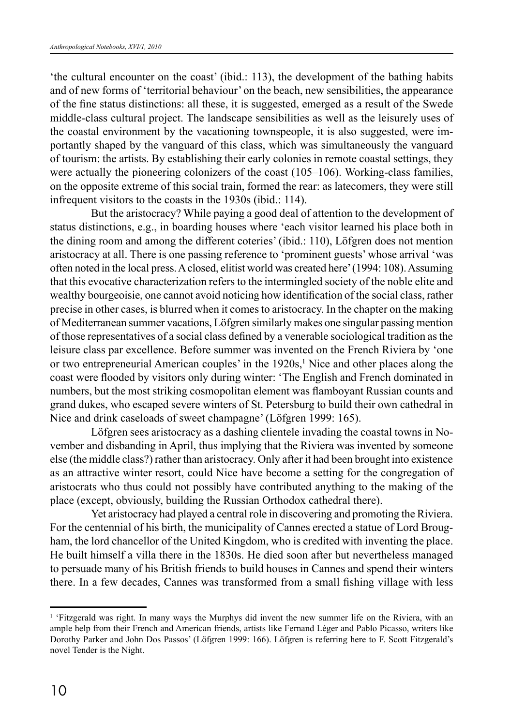'the cultural encounter on the coast' (ibid.: 113), the development of the bathing habits and of new forms of 'territorial behaviour' on the beach, new sensibilities, the appearance of the fine status distinctions: all these, it is suggested, emerged as a result of the Swede middle-class cultural project. The landscape sensibilities as well as the leisurely uses of the coastal environment by the vacationing townspeople, it is also suggested, were importantly shaped by the vanguard of this class, which was simultaneously the vanguard of tourism: the artists. By establishing their early colonies in remote coastal settings, they were actually the pioneering colonizers of the coast (105–106). Working-class families, on the opposite extreme of this social train, formed the rear: as latecomers, they were still infrequent visitors to the coasts in the 1930s (ibid.: 114).

But the aristocracy? While paying a good deal of attention to the development of status distinctions, e.g., in boarding houses where 'each visitor learned his place both in the dining room and among the different coteries' (ibid.: 110), Löfgren does not mention aristocracy at all. There is one passing reference to 'prominent guests' whose arrival 'was often noted in the local press. A closed, elitist world was created here' (1994: 108). Assuming that this evocative characterization refers to the intermingled society of the noble elite and wealthy bourgeoisie, one cannot avoid noticing how identification of the social class, rather precise in other cases, is blurred when it comes to aristocracy. In the chapter on the making of Mediterranean summer vacations, Löfgren similarly makes one singular passing mention of those representatives of a social class defined by a venerable sociological tradition as the leisure class par excellence. Before summer was invented on the French Riviera by 'one or two entrepreneurial American couples' in the 1920s,<sup>1</sup> Nice and other places along the coast were flooded by visitors only during winter: 'The English and French dominated in numbers, but the most striking cosmopolitan element was flamboyant Russian counts and grand dukes, who escaped severe winters of St. Petersburg to build their own cathedral in Nice and drink caseloads of sweet champagne' (Löfgren 1999: 165).

Löfgren sees aristocracy as a dashing clientele invading the coastal towns in November and disbanding in April, thus implying that the Riviera was invented by someone else (the middle class?) rather than aristocracy. Only after it had been brought into existence as an attractive winter resort, could Nice have become a setting for the congregation of aristocrats who thus could not possibly have contributed anything to the making of the place (except, obviously, building the Russian Orthodox cathedral there).

Yet aristocracy had played a central role in discovering and promoting the Riviera. For the centennial of his birth, the municipality of Cannes erected a statue of Lord Brougham, the lord chancellor of the United Kingdom, who is credited with inventing the place. He built himself a villa there in the 1830s. He died soon after but nevertheless managed to persuade many of his British friends to build houses in Cannes and spend their winters there. In a few decades, Cannes was transformed from a small fishing village with less

<sup>&</sup>lt;sup>1</sup> 'Fitzgerald was right. In many ways the Murphys did invent the new summer life on the Riviera, with an ample help from their French and American friends, artists like Fernand Léger and Pablo Picasso, writers like Dorothy Parker and John Dos Passos' (Löfgren 1999: 166). Löfgren is referring here to F. Scott Fitzgerald's novel Tender is the Night.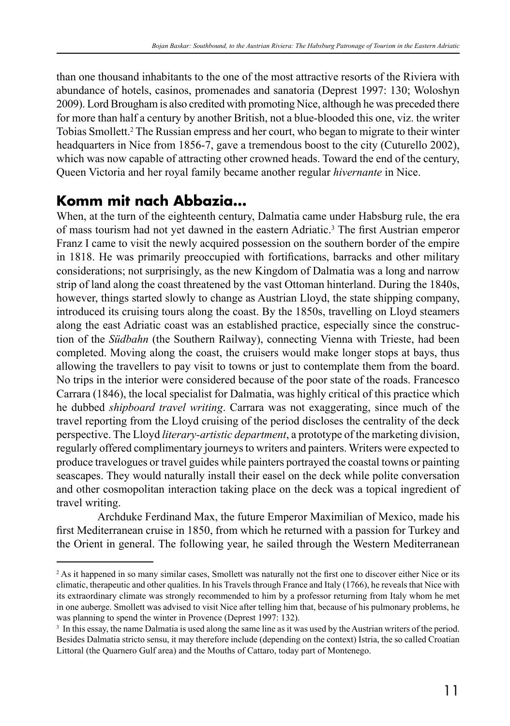than one thousand inhabitants to the one of the most attractive resorts of the Riviera with abundance of hotels, casinos, promenades and sanatoria (Deprest 1997: 130; Woloshyn 2009). Lord Brougham is also credited with promoting Nice, although he was preceded there for more than half a century by another British, not a blue-blooded this one, viz. the writer Tobias Smollett.2 The Russian empress and her court, who began to migrate to their winter headquarters in Nice from 1856-7, gave a tremendous boost to the city (Cuturello 2002). which was now capable of attracting other crowned heads. Toward the end of the century, Queen Victoria and her royal family became another regular *hivernante* in Nice.

#### **Komm mit nach Abbazia…**

When, at the turn of the eighteenth century, Dalmatia came under Habsburg rule, the era of mass tourism had not yet dawned in the eastern Adriatic.<sup>3</sup> The first Austrian emperor Franz I came to visit the newly acquired possession on the southern border of the empire in 1818. He was primarily preoccupied with fortifications, barracks and other military considerations; not surprisingly, as the new Kingdom of Dalmatia was a long and narrow strip of land along the coast threatened by the vast Ottoman hinterland. During the 1840s, however, things started slowly to change as Austrian Lloyd, the state shipping company, introduced its cruising tours along the coast. By the 1850s, travelling on Lloyd steamers along the east Adriatic coast was an established practice, especially since the construction of the *Südbahn* (the Southern Railway), connecting Vienna with Trieste, had been completed. Moving along the coast, the cruisers would make longer stops at bays, thus allowing the travellers to pay visit to towns or just to contemplate them from the board. No trips in the interior were considered because of the poor state of the roads. Francesco Carrara (1846), the local specialist for Dalmatia, was highly critical of this practice which he dubbed *shipboard travel writing*. Carrara was not exaggerating, since much of the travel reporting from the Lloyd cruising of the period discloses the centrality of the deck perspective. The Lloyd *literary-artistic department*, a prototype of the marketing division, regularly offered complimentary journeys to writers and painters. Writers were expected to produce travelogues or travel guides while painters portrayed the coastal towns or painting seascapes. They would naturally install their easel on the deck while polite conversation and other cosmopolitan interaction taking place on the deck was a topical ingredient of travel writing.

Archduke Ferdinand Max, the future Emperor Maximilian of Mexico, made his first Mediterranean cruise in 1850, from which he returned with a passion for Turkey and the Orient in general. The following year, he sailed through the Western Mediterranean

<sup>2</sup> As it happened in so many similar cases, Smollett was naturally not the first one to discover either Nice or its climatic, therapeutic and other qualities. In his Travels through France and Italy (1766), he reveals that Nice with its extraordinary climate was strongly recommended to him by a professor returning from Italy whom he met in one auberge. Smollett was advised to visit Nice after telling him that, because of his pulmonary problems, he was planning to spend the winter in Provence (Deprest 1997: 132).

<sup>&</sup>lt;sup>3</sup> In this essay, the name Dalmatia is used along the same line as it was used by the Austrian writers of the period. Besides Dalmatia stricto sensu, it may therefore include (depending on the context) Istria, the so called Croatian Littoral (the Quarnero Gulf area) and the Mouths of Cattaro, today part of Montenego.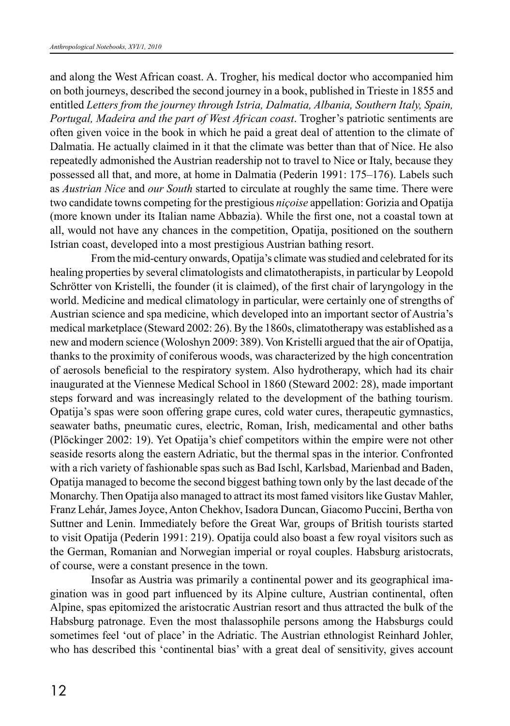and along the West African coast. A. Trogher, his medical doctor who accompanied him on both journeys, described the second journey in a book, published in Trieste in 1855 and entitled *Letters from the journey through Istria, Dalmatia, Albania, Southern Italy, Spain, Portugal, Madeira and the part of West African coast*. Trogher's patriotic sentiments are often given voice in the book in which he paid a great deal of attention to the climate of Dalmatia. He actually claimed in it that the climate was better than that of Nice. He also repeatedly admonished the Austrian readership not to travel to Nice or Italy, because they possessed all that, and more, at home in Dalmatia (Pederin 1991: 175–176). Labels such as *Austrian Nice* and *our South* started to circulate at roughly the same time. There were two candidate towns competing for the prestigious *niçoise* appellation: Gorizia and Opatija (more known under its Italian name Abbazia). While the first one, not a coastal town at all, would not have any chances in the competition, Opatija, positioned on the southern Istrian coast, developed into a most prestigious Austrian bathing resort.

From the mid-century onwards, Opatija's climate was studied and celebrated for its healing properties by several climatologists and climatotherapists, in particular by Leopold Schrötter von Kristelli, the founder (it is claimed), of the first chair of laryngology in the world. Medicine and medical climatology in particular, were certainly one of strengths of Austrian science and spa medicine, which developed into an important sector of Austria's medical marketplace (Steward 2002: 26). By the 1860s, climatotherapy was established as a new and modern science (Woloshyn 2009: 389). Von Kristelli argued that the air of Opatija, thanks to the proximity of coniferous woods, was characterized by the high concentration of aerosols beneficial to the respiratory system. Also hydrotherapy, which had its chair inaugurated at the Viennese Medical School in 1860 (Steward 2002: 28), made important steps forward and was increasingly related to the development of the bathing tourism. Opatija's spas were soon offering grape cures, cold water cures, therapeutic gymnastics, seawater baths, pneumatic cures, electric, Roman, Irish, medicamental and other baths (Plöckinger 2002: 19). Yet Opatija's chief competitors within the empire were not other seaside resorts along the eastern Adriatic, but the thermal spas in the interior. Confronted with a rich variety of fashionable spas such as Bad Ischl, Karlsbad, Marienbad and Baden, Opatija managed to become the second biggest bathing town only by the last decade of the Monarchy. Then Opatija also managed to attract its most famed visitors like Gustav Mahler, Franz Lehár, James Joyce, Anton Chekhov, Isadora Duncan, Giacomo Puccini, Bertha von Suttner and Lenin. Immediately before the Great War, groups of British tourists started to visit Opatija (Pederin 1991: 219). Opatija could also boast a few royal visitors such as the German, Romanian and Norwegian imperial or royal couples. Habsburg aristocrats, of course, were a constant presence in the town.

Insofar as Austria was primarily a continental power and its geographical imagination was in good part influenced by its Alpine culture, Austrian continental, often Alpine, spas epitomized the aristocratic Austrian resort and thus attracted the bulk of the Habsburg patronage. Even the most thalassophile persons among the Habsburgs could sometimes feel 'out of place' in the Adriatic. The Austrian ethnologist Reinhard Johler, who has described this 'continental bias' with a great deal of sensitivity, gives account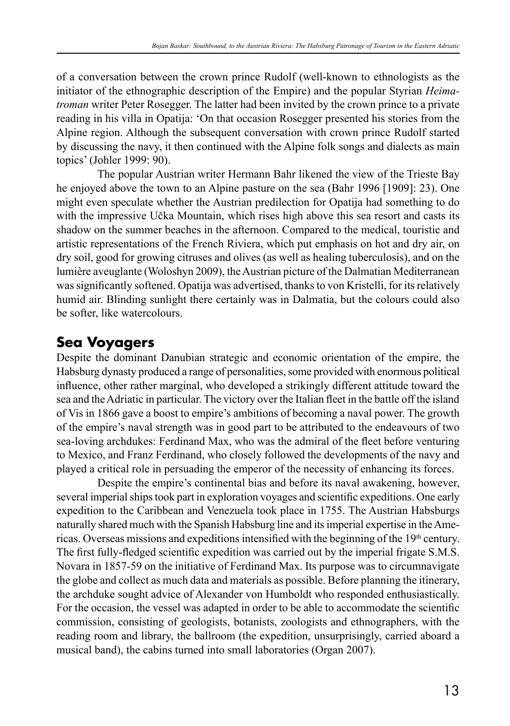of a conversation between the crown prince Rudolf (well-known to ethnologists as the initiator of the ethnographic description of the Empire) and the popular Styrian *Heimatroman* writer Peter Rosegger. The latter had been invited by the crown prince to a private reading in his villa in Opatija: 'On that occasion Rosegger presented his stories from the Alpine region. Although the subsequent conversation with crown prince Rudolf started by discussing the navy, it then continued with the Alpine folk songs and dialects as main topics' (Johler 1999: 90).

The popular Austrian writer Hermann Bahr likened the view of the Trieste Bay he enjoyed above the town to an Alpine pasture on the sea (Bahr 1996 [1909]: 23). One might even speculate whether the Austrian predilection for Opatija had something to do with the impressive Učka Mountain, which rises high above this sea resort and casts its shadow on the summer beaches in the afternoon. Compared to the medical, touristic and artistic representations of the French Riviera, which put emphasis on hot and dry air, on dry soil, good for growing citruses and olives (as well as healing tuberculosis), and on the lumière aveuglante (Woloshyn 2009), the Austrian picture of the Dalmatian Mediterranean was significantly softened. Opatija was advertised, thanks to von Kristelli, for its relatively humid air. Blinding sunlight there certainly was in Dalmatia, but the colours could also be softer, like watercolours.

## **Sea Voyagers**

Despite the dominant Danubian strategic and economic orientation of the empire, the Habsburg dynasty produced a range of personalities, some provided with enormous political influence, other rather marginal, who developed a strikingly different attitude toward the sea and the Adriatic in particular. The victory over the Italian fleet in the battle off the island of Vis in 1866 gave a boost to empire's ambitions of becoming a naval power. The growth of the empire's naval strength was in good part to be attributed to the endeavours of two sea-loving archdukes: Ferdinand Max, who was the admiral of the fleet before venturing to Mexico, and Franz Ferdinand, who closely followed the developments of the navy and played a critical role in persuading the emperor of the necessity of enhancing its forces.

Despite the empire's continental bias and before its naval awakening, however, several imperial ships took part in exploration voyages and scientific expeditions. One early expedition to the Caribbean and Venezuela took place in 1755. The Austrian Habsburgs naturally shared much with the Spanish Habsburg line and its imperial expertise in the Americas. Overseas missions and expeditions intensified with the beginning of the  $19<sup>th</sup>$  century. The first fully-fledged scientific expedition was carried out by the imperial frigate S.M.S. Novara in 1857-59 on the initiative of Ferdinand Max. Its purpose was to circumnavigate the globe and collect as much data and materials as possible. Before planning the itinerary, the archduke sought advice of Alexander von Humboldt who responded enthusiastically. For the occasion, the vessel was adapted in order to be able to accommodate the scientific commission, consisting of geologists, botanists, zoologists and ethnographers, with the reading room and library, the ballroom (the expedition, unsurprisingly, carried aboard a musical band), the cabins turned into small laboratories (Organ 2007).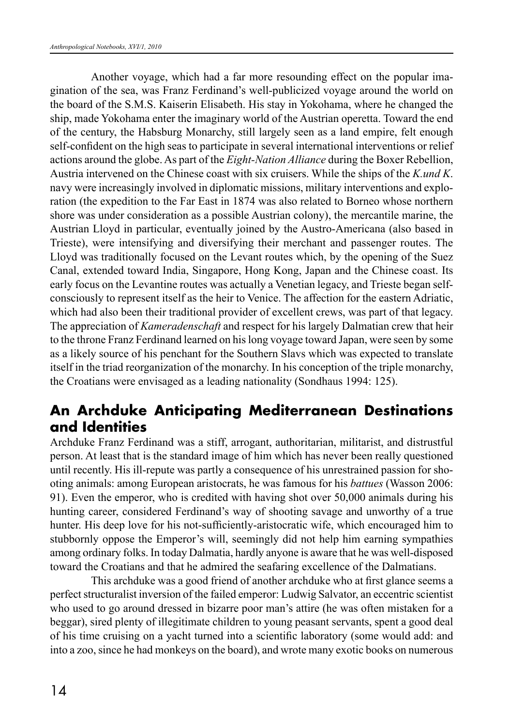Another voyage, which had a far more resounding effect on the popular imagination of the sea, was Franz Ferdinand's well-publicized voyage around the world on the board of the S.M.S. Kaiserin Elisabeth. His stay in Yokohama, where he changed the ship, made Yokohama enter the imaginary world of the Austrian operetta. Toward the end of the century, the Habsburg Monarchy, still largely seen as a land empire, felt enough self-confident on the high seas to participate in several international interventions or relief actions around the globe. As part of the *Eight-Nation Alliance* during the Boxer Rebellion, Austria intervened on the Chinese coast with six cruisers. While the ships of the *K.und K*. navy were increasingly involved in diplomatic missions, military interventions and exploration (the expedition to the Far East in 1874 was also related to Borneo whose northern shore was under consideration as a possible Austrian colony), the mercantile marine, the Austrian Lloyd in particular, eventually joined by the Austro-Americana (also based in Trieste), were intensifying and diversifying their merchant and passenger routes. The Lloyd was traditionally focused on the Levant routes which, by the opening of the Suez Canal, extended toward India, Singapore, Hong Kong, Japan and the Chinese coast. Its early focus on the Levantine routes was actually a Venetian legacy, and Trieste began selfconsciously to represent itself as the heir to Venice. The affection for the eastern Adriatic, which had also been their traditional provider of excellent crews, was part of that legacy. The appreciation of *Kameradenschaft* and respect for his largely Dalmatian crew that heir to the throne Franz Ferdinand learned on his long voyage toward Japan, were seen by some as a likely source of his penchant for the Southern Slavs which was expected to translate itself in the triad reorganization of the monarchy. In his conception of the triple monarchy, the Croatians were envisaged as a leading nationality (Sondhaus 1994: 125).

#### **An Archduke Anticipating Mediterranean Destinations and Identities**

Archduke Franz Ferdinand was a stiff, arrogant, authoritarian, militarist, and distrustful person. At least that is the standard image of him which has never been really questioned until recently. His ill-repute was partly a consequence of his unrestrained passion for shooting animals: among European aristocrats, he was famous for his *battues* (Wasson 2006: 91). Even the emperor, who is credited with having shot over 50,000 animals during his hunting career, considered Ferdinand's way of shooting savage and unworthy of a true hunter. His deep love for his not-sufficiently-aristocratic wife, which encouraged him to stubbornly oppose the Emperor's will, seemingly did not help him earning sympathies among ordinary folks. In today Dalmatia, hardly anyone is aware that he was well-disposed toward the Croatians and that he admired the seafaring excellence of the Dalmatians.

This archduke was a good friend of another archduke who at first glance seems a perfect structuralist inversion of the failed emperor: Ludwig Salvator, an eccentric scientist who used to go around dressed in bizarre poor man's attire (he was often mistaken for a beggar), sired plenty of illegitimate children to young peasant servants, spent a good deal of his time cruising on a yacht turned into a scientific laboratory (some would add: and into a zoo, since he had monkeys on the board), and wrote many exotic books on numerous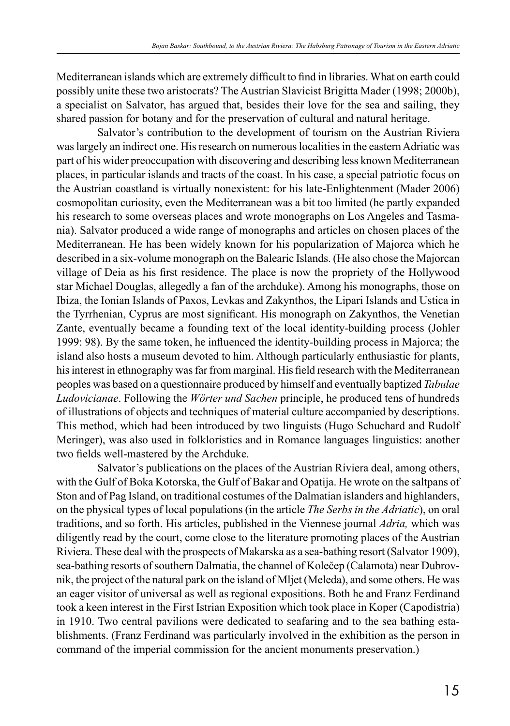Mediterranean islands which are extremely difficult to find in libraries. What on earth could possibly unite these two aristocrats? The Austrian Slavicist Brigitta Mader (1998; 2000b), a specialist on Salvator, has argued that, besides their love for the sea and sailing, they shared passion for botany and for the preservation of cultural and natural heritage.

Salvator's contribution to the development of tourism on the Austrian Riviera was largely an indirect one. His research on numerous localities in the eastern Adriatic was part of his wider preoccupation with discovering and describing less known Mediterranean places, in particular islands and tracts of the coast. In his case, a special patriotic focus on the Austrian coastland is virtually nonexistent: for his late-Enlightenment (Mader 2006) cosmopolitan curiosity, even the Mediterranean was a bit too limited (he partly expanded his research to some overseas places and wrote monographs on Los Angeles and Tasmania). Salvator produced a wide range of monographs and articles on chosen places of the Mediterranean. He has been widely known for his popularization of Majorca which he described in a six-volume monograph on the Balearic Islands. (He also chose the Majorcan village of Deia as his first residence. The place is now the propriety of the Hollywood star Michael Douglas, allegedly a fan of the archduke). Among his monographs, those on Ibiza, the Ionian Islands of Paxos, Levkas and Zakynthos, the Lipari Islands and Ustica in the Tyrrhenian, Cyprus are most significant. His monograph on Zakynthos, the Venetian Zante, eventually became a founding text of the local identity-building process (Johler 1999: 98). By the same token, he influenced the identity-building process in Majorca; the island also hosts a museum devoted to him. Although particularly enthusiastic for plants, his interest in ethnography was far from marginal. His field research with the Mediterranean peoples was based on a questionnaire produced by himself and eventually baptized *Tabulae Ludovicianae*. Following the *Wörter und Sachen* principle, he produced tens of hundreds of illustrations of objects and techniques of material culture accompanied by descriptions. This method, which had been introduced by two linguists (Hugo Schuchard and Rudolf Meringer), was also used in folkloristics and in Romance languages linguistics: another two fields well-mastered by the Archduke.

Salvator's publications on the places of the Austrian Riviera deal, among others, with the Gulf of Boka Kotorska, the Gulf of Bakar and Opatija. He wrote on the saltpans of Ston and of Pag Island, on traditional costumes of the Dalmatian islanders and highlanders, on the physical types of local populations (in the article *The Serbs in the Adriatic*), on oral traditions, and so forth. His articles, published in the Viennese journal *Adria,* which was diligently read by the court, come close to the literature promoting places of the Austrian Riviera. These deal with the prospects of Makarska as a sea-bathing resort (Salvator 1909), sea-bathing resorts of southern Dalmatia, the channel of Kolečep (Calamota) near Dubrovnik, the project of the natural park on the island of Mljet (Meleda), and some others. He was an eager visitor of universal as well as regional expositions. Both he and Franz Ferdinand took a keen interest in the First Istrian Exposition which took place in Koper (Capodistria) in 1910. Two central pavilions were dedicated to seafaring and to the sea bathing establishments. (Franz Ferdinand was particularly involved in the exhibition as the person in command of the imperial commission for the ancient monuments preservation.)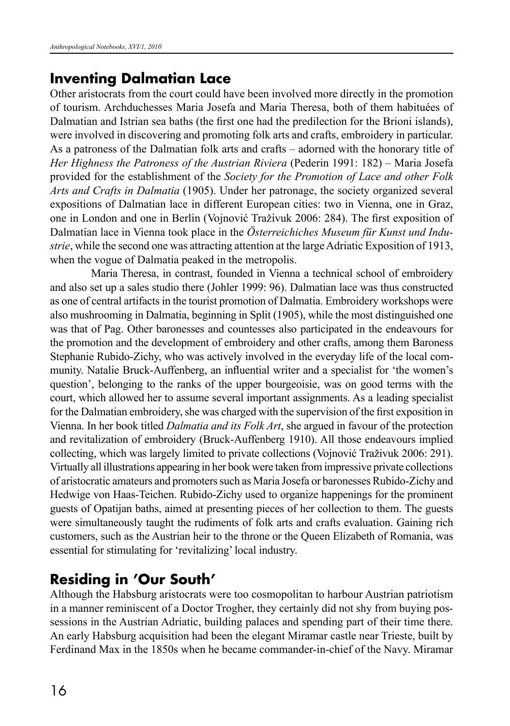#### **Inventing Dalmatian Lace**

Other aristocrats from the court could have been involved more directly in the promotion of tourism. Archduchesses Maria Josefa and Maria Theresa, both of them habituées of Dalmatian and Istrian sea baths (the first one had the predilection for the Brioni islands), were involved in discovering and promoting folk arts and crafts, embroidery in particular. As a patroness of the Dalmatian folk arts and crafts – adorned with the honorary title of *Her Highness the Patroness of the Austrian Riviera* (Pederin 1991: 182) – Maria Josefa provided for the establishment of the *Society for the Promotion of Lace and other Folk Arts and Crafts in Dalmatia* (1905). Under her patronage, the society organized several expositions of Dalmatian lace in different European cities: two in Vienna, one in Graz, one in London and one in Berlin (Vojnović Traživuk 2006: 284). The first exposition of Dalmatian lace in Vienna took place in the *Österreichiches Museum für Kunst und Industrie*, while the second one was attracting attention at the large Adriatic Exposition of 1913, when the vogue of Dalmatia peaked in the metropolis.

Maria Theresa, in contrast, founded in Vienna a technical school of embroidery and also set up a sales studio there (Johler 1999: 96). Dalmatian lace was thus constructed as one of central artifacts in the tourist promotion of Dalmatia. Embroidery workshops were also mushrooming in Dalmatia, beginning in Split (1905), while the most distinguished one was that of Pag. Other baronesses and countesses also participated in the endeavours for the promotion and the development of embroidery and other crafts, among them Baroness Stephanie Rubido-Zichy, who was actively involved in the everyday life of the local community. Natalie Bruck-Auffenberg, an influential writer and a specialist for 'the women's question', belonging to the ranks of the upper bourgeoisie, was on good terms with the court, which allowed her to assume several important assignments. As a leading specialist for the Dalmatian embroidery, she was charged with the supervision of the first exposition in Vienna. In her book titled *Dalmatia and its Folk Art*, she argued in favour of the protection and revitalization of embroidery (Bruck-Auffenberg 1910). All those endeavours implied collecting, which was largely limited to private collections (Vojnović Traživuk 2006: 291). Virtually all illustrations appearing in her book were taken from impressive private collections of aristocratic amateurs and promoters such as Maria Josefa or baronesses Rubido-Zichy and Hedwige von Haas-Teichen. Rubido-Zichy used to organize happenings for the prominent guests of Opatijan baths, aimed at presenting pieces of her collection to them. The guests were simultaneously taught the rudiments of folk arts and crafts evaluation. Gaining rich customers, such as the Austrian heir to the throne or the Queen Elizabeth of Romania, was essential for stimulating for 'revitalizing' local industry.

## **Residing in 'Our South'**

Although the Habsburg aristocrats were too cosmopolitan to harbour Austrian patriotism in a manner reminiscent of a Doctor Trogher, they certainly did not shy from buying possessions in the Austrian Adriatic, building palaces and spending part of their time there. An early Habsburg acquisition had been the elegant Miramar castle near Trieste, built by Ferdinand Max in the 1850s when he became commander-in-chief of the Navy. Miramar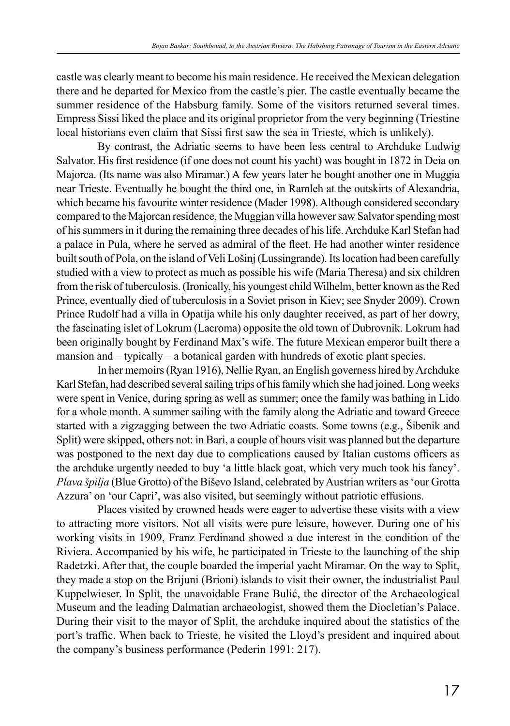castle was clearly meant to become his main residence. He received the Mexican delegation there and he departed for Mexico from the castle's pier. The castle eventually became the summer residence of the Habsburg family. Some of the visitors returned several times. Empress Sissi liked the place and its original proprietor from the very beginning (Triestine local historians even claim that Sissi first saw the sea in Trieste, which is unlikely).

By contrast, the Adriatic seems to have been less central to Archduke Ludwig Salvator. His first residence (if one does not count his yacht) was bought in 1872 in Deia on Majorca. (Its name was also Miramar.) A few years later he bought another one in Muggia near Trieste. Eventually he bought the third one, in Ramleh at the outskirts of Alexandria, which became his favourite winter residence (Mader 1998). Although considered secondary compared to the Majorcan residence, the Muggian villa however saw Salvator spending most of his summers in it during the remaining three decades of his life. Archduke Karl Stefan had a palace in Pula, where he served as admiral of the fleet. He had another winter residence built south of Pola, on the island of Veli Lošinj (Lussingrande). Its location had been carefully studied with a view to protect as much as possible his wife (Maria Theresa) and six children from the risk of tuberculosis. (Ironically, his youngest child Wilhelm, better known as the Red Prince, eventually died of tuberculosis in a Soviet prison in Kiev; see Snyder 2009). Crown Prince Rudolf had a villa in Opatija while his only daughter received, as part of her dowry, the fascinating islet of Lokrum (Lacroma) opposite the old town of Dubrovnik. Lokrum had been originally bought by Ferdinand Max's wife. The future Mexican emperor built there a mansion and – typically – a botanical garden with hundreds of exotic plant species.

In her memoirs (Ryan 1916), Nellie Ryan, an English governess hired by Archduke Karl Stefan, had described several sailing trips of his family which she had joined. Long weeks were spent in Venice, during spring as well as summer; once the family was bathing in Lido for a whole month. A summer sailing with the family along the Adriatic and toward Greece started with a zigzagging between the two Adriatic coasts. Some towns (e.g., Šibenik and Split) were skipped, others not: in Bari, a couple of hours visit was planned but the departure was postponed to the next day due to complications caused by Italian customs officers as the archduke urgently needed to buy 'a little black goat, which very much took his fancy'. *Plava špilja* (Blue Grotto) of the Biševo Island, celebrated by Austrian writers as 'our Grotta Azzura' on 'our Capri', was also visited, but seemingly without patriotic effusions.

Places visited by crowned heads were eager to advertise these visits with a view to attracting more visitors. Not all visits were pure leisure, however. During one of his working visits in 1909, Franz Ferdinand showed a due interest in the condition of the Riviera. Accompanied by his wife, he participated in Trieste to the launching of the ship Radetzki. After that, the couple boarded the imperial yacht Miramar. On the way to Split, they made a stop on the Brijuni (Brioni) islands to visit their owner, the industrialist Paul Kuppelwieser. In Split, the unavoidable Frane Bulić, the director of the Archaeological Museum and the leading Dalmatian archaeologist, showed them the Diocletian's Palace. During their visit to the mayor of Split, the archduke inquired about the statistics of the port's traffic. When back to Trieste, he visited the Lloyd's president and inquired about the company's business performance (Pederin 1991: 217).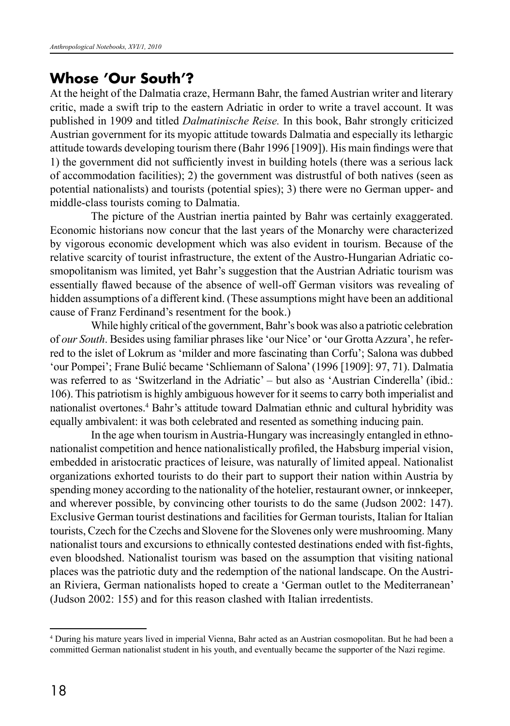#### **Whose 'Our South'?**

At the height of the Dalmatia craze, Hermann Bahr, the famed Austrian writer and literary critic, made a swift trip to the eastern Adriatic in order to write a travel account. It was published in 1909 and titled *Dalmatinische Reise.* In this book, Bahr strongly criticized Austrian government for its myopic attitude towards Dalmatia and especially its lethargic attitude towards developing tourism there (Bahr 1996 [1909]). His main findings were that 1) the government did not sufficiently invest in building hotels (there was a serious lack of accommodation facilities); 2) the government was distrustful of both natives (seen as potential nationalists) and tourists (potential spies); 3) there were no German upper- and middle-class tourists coming to Dalmatia.

The picture of the Austrian inertia painted by Bahr was certainly exaggerated. Economic historians now concur that the last years of the Monarchy were characterized by vigorous economic development which was also evident in tourism. Because of the relative scarcity of tourist infrastructure, the extent of the Austro-Hungarian Adriatic cosmopolitanism was limited, yet Bahr's suggestion that the Austrian Adriatic tourism was essentially flawed because of the absence of well-off German visitors was revealing of hidden assumptions of a different kind. (These assumptions might have been an additional cause of Franz Ferdinand's resentment for the book.)

While highly critical of the government, Bahr's book was also a patriotic celebration of *our South*. Besides using familiar phrases like 'our Nice' or 'our Grotta Azzura', he referred to the islet of Lokrum as 'milder and more fascinating than Corfu'; Salona was dubbed 'our Pompei'; Frane Bulić became 'Schliemann of Salona' (1996 [1909]: 97, 71). Dalmatia was referred to as 'Switzerland in the Adriatic' – but also as 'Austrian Cinderella' (ibid.: 106). This patriotism is highly ambiguous however for it seems to carry both imperialist and nationalist overtones.4 Bahr's attitude toward Dalmatian ethnic and cultural hybridity was equally ambivalent: it was both celebrated and resented as something inducing pain.

In the age when tourism in Austria-Hungary was increasingly entangled in ethnonationalist competition and hence nationalistically profiled, the Habsburg imperial vision, embedded in aristocratic practices of leisure, was naturally of limited appeal. Nationalist organizations exhorted tourists to do their part to support their nation within Austria by spending money according to the nationality of the hotelier, restaurant owner, or innkeeper, and wherever possible, by convincing other tourists to do the same (Judson 2002: 147). Exclusive German tourist destinations and facilities for German tourists, Italian for Italian tourists, Czech for the Czechs and Slovene for the Slovenes only were mushrooming. Many nationalist tours and excursions to ethnically contested destinations ended with fist-fights, even bloodshed. Nationalist tourism was based on the assumption that visiting national places was the patriotic duty and the redemption of the national landscape. On the Austrian Riviera, German nationalists hoped to create a 'German outlet to the Mediterranean' (Judson 2002: 155) and for this reason clashed with Italian irredentists.

<sup>4</sup> During his mature years lived in imperial Vienna, Bahr acted as an Austrian cosmopolitan. But he had been a committed German nationalist student in his youth, and eventually became the supporter of the Nazi regime.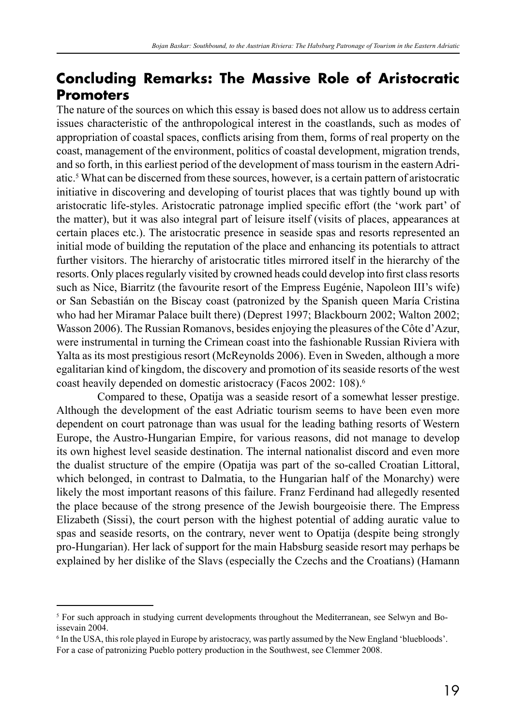## **Concluding Remarks: The Massive Role of Aristocratic Promoters**

The nature of the sources on which this essay is based does not allow us to address certain issues characteristic of the anthropological interest in the coastlands, such as modes of appropriation of coastal spaces, conflicts arising from them, forms of real property on the coast, management of the environment, politics of coastal development, migration trends, and so forth, in this earliest period of the development of mass tourism in the eastern Adriatic.5 What can be discerned from these sources, however, is a certain pattern of aristocratic initiative in discovering and developing of tourist places that was tightly bound up with aristocratic life-styles. Aristocratic patronage implied specific effort (the 'work part' of the matter), but it was also integral part of leisure itself (visits of places, appearances at certain places etc.). The aristocratic presence in seaside spas and resorts represented an initial mode of building the reputation of the place and enhancing its potentials to attract further visitors. The hierarchy of aristocratic titles mirrored itself in the hierarchy of the resorts. Only places regularly visited by crowned heads could develop into first class resorts such as Nice, Biarritz (the favourite resort of the Empress Eugénie, Napoleon III's wife) or San Sebastián on the Biscay coast (patronized by the Spanish queen María Cristina who had her Miramar Palace built there) (Deprest 1997; Blackbourn 2002; Walton 2002; Wasson 2006). The Russian Romanovs, besides enjoying the pleasures of the Côte d'Azur, were instrumental in turning the Crimean coast into the fashionable Russian Riviera with Yalta as its most prestigious resort (McReynolds 2006). Even in Sweden, although a more egalitarian kind of kingdom, the discovery and promotion of its seaside resorts of the west coast heavily depended on domestic aristocracy (Facos 2002: 108).6

Compared to these, Opatija was a seaside resort of a somewhat lesser prestige. Although the development of the east Adriatic tourism seems to have been even more dependent on court patronage than was usual for the leading bathing resorts of Western Europe, the Austro-Hungarian Empire, for various reasons, did not manage to develop its own highest level seaside destination. The internal nationalist discord and even more the dualist structure of the empire (Opatija was part of the so-called Croatian Littoral, which belonged, in contrast to Dalmatia, to the Hungarian half of the Monarchy) were likely the most important reasons of this failure. Franz Ferdinand had allegedly resented the place because of the strong presence of the Jewish bourgeoisie there. The Empress Elizabeth (Sissi), the court person with the highest potential of adding auratic value to spas and seaside resorts, on the contrary, never went to Opatija (despite being strongly pro-Hungarian). Her lack of support for the main Habsburg seaside resort may perhaps be explained by her dislike of the Slavs (especially the Czechs and the Croatians) (Hamann

<sup>&</sup>lt;sup>5</sup> For such approach in studying current developments throughout the Mediterranean, see Selwyn and Boissevain 2004.

<sup>6</sup> In the USA, this role played in Europe by aristocracy, was partly assumed by the New England 'bluebloods'. For a case of patronizing Pueblo pottery production in the Southwest, see Clemmer 2008.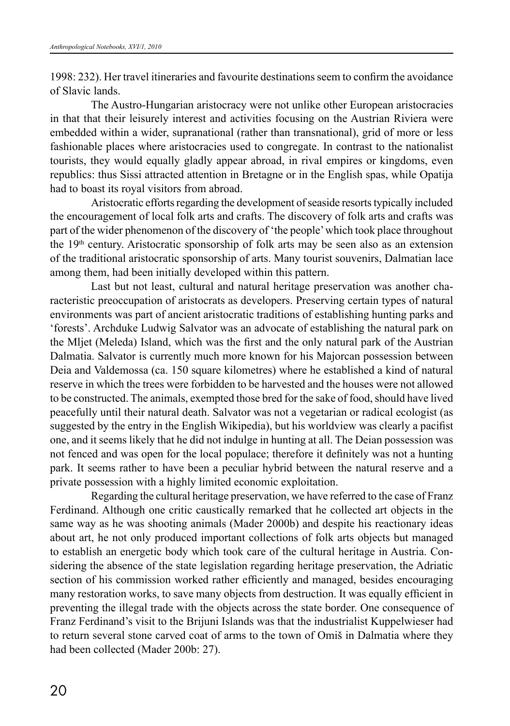1998: 232). Her travel itineraries and favourite destinations seem to confirm the avoidance of Slavic lands.

The Austro-Hungarian aristocracy were not unlike other European aristocracies in that that their leisurely interest and activities focusing on the Austrian Riviera were embedded within a wider, supranational (rather than transnational), grid of more or less fashionable places where aristocracies used to congregate. In contrast to the nationalist tourists, they would equally gladly appear abroad, in rival empires or kingdoms, even republics: thus Sissi attracted attention in Bretagne or in the English spas, while Opatija had to boast its royal visitors from abroad.

Aristocratic efforts regarding the development of seaside resorts typically included the encouragement of local folk arts and crafts. The discovery of folk arts and crafts was part of the wider phenomenon of the discovery of 'the people' which took place throughout the  $19<sup>th</sup>$  century. Aristocratic sponsorship of folk arts may be seen also as an extension of the traditional aristocratic sponsorship of arts. Many tourist souvenirs, Dalmatian lace among them, had been initially developed within this pattern.

Last but not least, cultural and natural heritage preservation was another characteristic preoccupation of aristocrats as developers. Preserving certain types of natural environments was part of ancient aristocratic traditions of establishing hunting parks and 'forests'. Archduke Ludwig Salvator was an advocate of establishing the natural park on the Mljet (Meleda) Island, which was the first and the only natural park of the Austrian Dalmatia. Salvator is currently much more known for his Majorcan possession between Deia and Valdemossa (ca. 150 square kilometres) where he established a kind of natural reserve in which the trees were forbidden to be harvested and the houses were not allowed to be constructed. The animals, exempted those bred for the sake of food, should have lived peacefully until their natural death. Salvator was not a vegetarian or radical ecologist (as suggested by the entry in the English Wikipedia), but his worldview was clearly a pacifist one, and it seems likely that he did not indulge in hunting at all. The Deian possession was not fenced and was open for the local populace; therefore it definitely was not a hunting park. It seems rather to have been a peculiar hybrid between the natural reserve and a private possession with a highly limited economic exploitation.

Regarding the cultural heritage preservation, we have referred to the case of Franz Ferdinand. Although one critic caustically remarked that he collected art objects in the same way as he was shooting animals (Mader 2000b) and despite his reactionary ideas about art, he not only produced important collections of folk arts objects but managed to establish an energetic body which took care of the cultural heritage in Austria. Considering the absence of the state legislation regarding heritage preservation, the Adriatic section of his commission worked rather efficiently and managed, besides encouraging many restoration works, to save many objects from destruction. It was equally efficient in preventing the illegal trade with the objects across the state border. One consequence of Franz Ferdinand's visit to the Brijuni Islands was that the industrialist Kuppelwieser had to return several stone carved coat of arms to the town of Omiš in Dalmatia where they had been collected (Mader 200b: 27).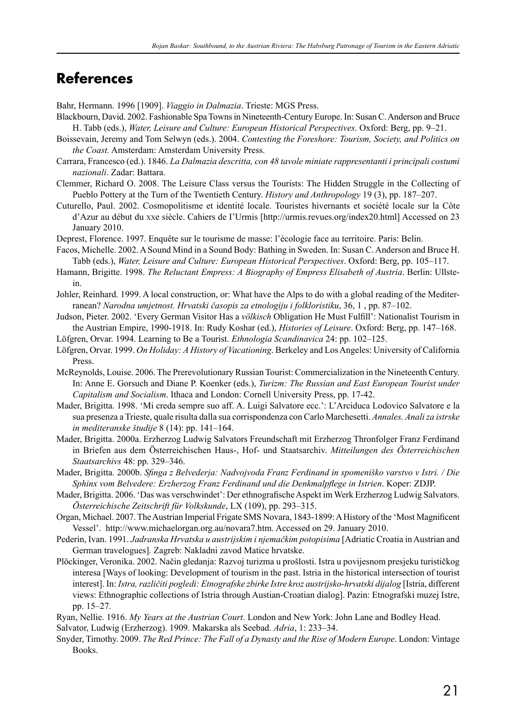#### **References**

Bahr, Hermann. 1996 [1909]. *Viaggio in Dalmazia*. Trieste: MGS Press.

- Blackbourn, David. 2002. Fashionable Spa Towns in Nineteenth-Century Europe. In: Susan C. Anderson and Bruce H. Tabb (eds.), *Water, Leisure and Culture: European Historical Perspectives*. Oxford: Berg, pp. 9–21.
- Boissevain, Jeremy and Tom Selwyn (eds.). 2004. *Contesting the Foreshore: Tourism, Society, and Politics on the Coast.* Amsterdam: Amsterdam University Press.
- Carrara, Francesco (ed.). 1846. *La Dalmazia descritta, con 48 tavole miniate rappresentanti i principali costumi nazionali*. Zadar: Battara.
- Clemmer, Richard O. 2008. The Leisure Class versus the Tourists: The Hidden Struggle in the Collecting of Pueblo Pottery at the Turn of the Twentieth Century. *History and Anthropology* 19 (3), pp. 187–207.
- Cuturello, Paul. 2002. Cosmopolitisme et identité locale. Touristes hivernants et société locale sur la Côte d'Azur au début du xxe siècle. Cahiers de I'Urmis [http://urmis.revues.org/index20.html] Accessed on 23 January 2010.
- Deprest, Florence. 1997. Enquête sur le tourisme de masse: l'écologie face au territoire. Paris: Belin.
- Facos, Michelle. 2002. A Sound Mind in a Sound Body: Bathing in Sweden. In: Susan C. Anderson and Bruce H. Tabb (eds.), *Water, Leisure and Culture: European Historical Perspectives*. Oxford: Berg, pp. 105–117.
- Hamann, Brigitte. 1998. *The Reluctant Empress: A Biography of Empress Elisabeth of Austria*. Berlin: Ullstein.
- Johler, Reinhard. 1999. A local construction, or: What have the Alps to do with a global reading of the Mediterranean? *Narodna umjetnost. Hrvatski časopis za etnologiju i folkloristiku*, 36, 1 , pp. 87–102.
- Judson, Pieter. 2002. 'Every German Visitor Has a *völkisch* Obligation He Must Fulfill': Nationalist Tourism in the Austrian Empire, 1990-1918. In: Rudy Koshar (ed.), *Histories of Leisure*. Oxford: Berg, pp. 147–168.
- Löfgren, Orvar. 1994. Learning to Be a Tourist. *Ethnologia Scandinavica* 24: pp. 102–125.
- Löfgren, Orvar. 1999. *On Holiday: A History of Vacationing*. Berkeley and Los Angeles: University of California Press.
- McReynolds, Louise. 2006. The Prerevolutionary Russian Tourist: Commercialization in the Nineteenth Century. In: Anne E. Gorsuch and Diane P. Koenker (eds.), *Turizm: The Russian and East European Tourist under Capitalism and Socialism*. Ithaca and London: Cornell University Press, pp. 17-42.
- Mader, Brigitta. 1998. 'Mi creda sempre suo aff. A. Luigi Salvatore ecc.': L'Arciduca Lodovico Salvatore e la sua presenza a Trieste, quale risulta dalla sua corrispondenza con Carlo Marchesetti. *Annales. Anali za istrske in mediteranske študije* 8 (14): pp. 141–164.
- Mader, Brigitta. 2000a. Erzherzog Ludwig Salvators Freundschaft mit Erzherzog Thronfolger Franz Ferdinand in Briefen aus dem Österreichischen Haus-, Hof- und Staatsarchiv. *Mitteilungen des Österreichischen Staatsarchivs* 48: pp. 329–346.
- Mader, Brigitta. 2000b. *Sfinga z Belvederja: Nadvojvoda Franz Ferdinand in spomeniško varstvo v Istri. / Die Sphinx vom Belvedere: Erzherzog Franz Ferdinand und die Denkmalpflege in Istrien*. Koper: ZDJP.
- Mader, Brigitta. 2006. 'Das was verschwindet': Der ethnografische Aspekt im Werk Erzherzog Ludwig Salvators. *Österreichische Zeitschrift für Volkskunde*, LX (109), pp. 293–315.
- Organ, Michael. 2007. The Austrian Imperial Frigate SMS Novara, 1843-1899: A History of the 'Most Magnificent Vessel'. http://www.michaelorgan.org.au/novara7.htm. Accessed on 29. January 2010.
- Pederin, Ivan. 1991. Jadranska Hrvatska u austrijskim i njemačkim potopisima [Adriatic Croatia in Austrian and German travelogues]*.* Zagreb: Nakladni zavod Matice hrvatske.
- Plöckinger, Veronika. 2002. Način gledanja: Razvoj turizma u prošlosti. Istra u povijesnom presjeku turističkog interesa [Ways of looking: Development of tourism in the past. Istria in the historical intersection of tourist interest]. In: *Istra, različiti pogledi: Etnografske zbirke Istre kroz austrijsko-hrvatski dijalog* [Istria, different views: Ethnographic collections of Istria through Austian-Croatian dialog]. Pazin: Etnografski muzej Istre, pp. 15–27.
- Ryan, Nellie. 1916. *My Years at the Austrian Court*. London and New York: John Lane and Bodley Head. Salvator, Ludwig (Erzherzog). 1909. Makarska als Seebad. *Adria*, 1: 233–34.
- Snyder, Timothy. 2009. *The Red Prince: The Fall of a Dynasty and the Rise of Modern Europe*. London: Vintage Books.